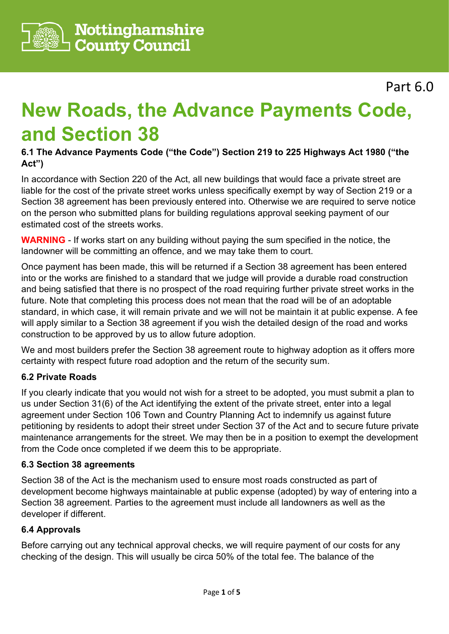

Part 6.0

# **New Roads, the Advance Payments Code, and Section 38**

# **6.1 The Advance Payments Code ("the Code") Section 219 to 225 Highways Act 1980 ("the Act")**

In accordance with Section 220 of the Act, all new buildings that would face a private street are liable for the cost of the private street works unless specifically exempt by way of Section 219 or a Section 38 agreement has been previously entered into. Otherwise we are required to serve notice on the person who submitted plans for building regulations approval seeking payment of our estimated cost of the streets works.

**WARNING** - If works start on any building without paying the sum specified in the notice, the landowner will be committing an offence, and we may take them to court.

Once payment has been made, this will be returned if a Section 38 agreement has been entered into or the works are finished to a standard that we judge will provide a durable road construction and being satisfied that there is no prospect of the road requiring further private street works in the future. Note that completing this process does not mean that the road will be of an adoptable standard, in which case, it will remain private and we will not be maintain it at public expense. A fee will apply similar to a Section 38 agreement if you wish the detailed design of the road and works construction to be approved by us to allow future adoption.

We and most builders prefer the Section 38 agreement route to highway adoption as it offers more certainty with respect future road adoption and the return of the security sum.

# **6.2 Private Roads**

If you clearly indicate that you would not wish for a street to be adopted, you must submit a plan to us under Section 31(6) of the Act identifying the extent of the private street, enter into a legal agreement under Section 106 Town and Country Planning Act to indemnify us against future petitioning by residents to adopt their street under Section 37 of the Act and to secure future private maintenance arrangements for the street. We may then be in a position to exempt the development from the Code once completed if we deem this to be appropriate.

# **6.3 Section 38 agreements**

Section 38 of the Act is the mechanism used to ensure most roads constructed as part of development become highways maintainable at public expense (adopted) by way of entering into a Section 38 agreement. Parties to the agreement must include all landowners as well as the developer if different.

# **6.4 Approvals**

Before carrying out any technical approval checks, we will require payment of our costs for any checking of the design. This will usually be circa 50% of the total fee. The balance of the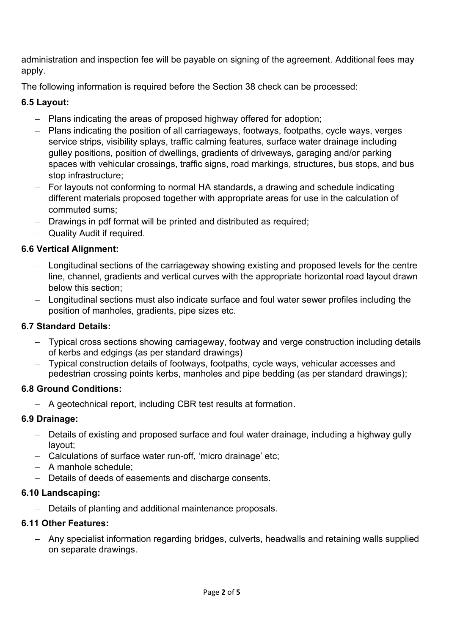administration and inspection fee will be payable on signing of the agreement. Additional fees may apply.

The following information is required before the Section 38 check can be processed:

# **6.5 Layout:**

- − Plans indicating the areas of proposed highway offered for adoption;
- − Plans indicating the position of all carriageways, footways, footpaths, cycle ways, verges service strips, visibility splays, traffic calming features, surface water drainage including gulley positions, position of dwellings, gradients of driveways, garaging and/or parking spaces with vehicular crossings, traffic signs, road markings, structures, bus stops, and bus stop infrastructure;
- − For layouts not conforming to normal HA standards, a drawing and schedule indicating different materials proposed together with appropriate areas for use in the calculation of commuted sums;
- − Drawings in pdf format will be printed and distributed as required;
- − Quality Audit if required.

# **6.6 Vertical Alignment:**

- − Longitudinal sections of the carriageway showing existing and proposed levels for the centre line, channel, gradients and vertical curves with the appropriate horizontal road layout drawn below this section;
- − Longitudinal sections must also indicate surface and foul water sewer profiles including the position of manholes, gradients, pipe sizes etc.

# **6.7 Standard Details:**

- − Typical cross sections showing carriageway, footway and verge construction including details of kerbs and edgings (as per standard drawings)
- − Typical construction details of footways, footpaths, cycle ways, vehicular accesses and pedestrian crossing points kerbs, manholes and pipe bedding (as per standard drawings);

# **6.8 Ground Conditions:**

− A geotechnical report, including CBR test results at formation.

# **6.9 Drainage:**

- − Details of existing and proposed surface and foul water drainage, including a highway gully layout;
- − Calculations of surface water run-off, 'micro drainage' etc;
- − A manhole schedule;
- − Details of deeds of easements and discharge consents.

# **6.10 Landscaping:**

− Details of planting and additional maintenance proposals.

# **6.11 Other Features:**

− Any specialist information regarding bridges, culverts, headwalls and retaining walls supplied on separate drawings.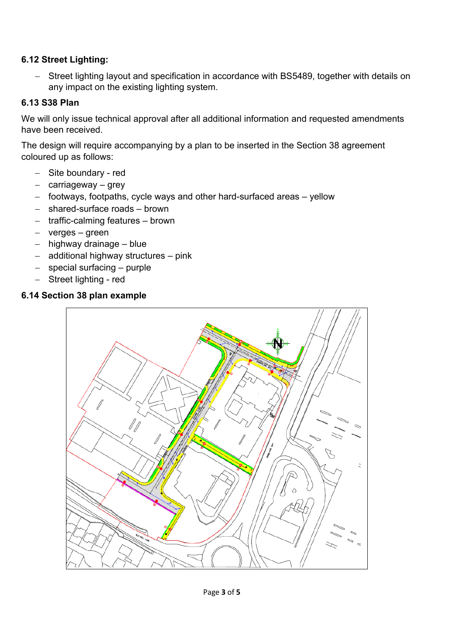# **6.12 Street Lighting:**

− Street lighting layout and specification in accordance with BS5489, together with details on any impact on the existing lighting system.

# **6.13 S38 Plan**

We will only issue technical approval after all additional information and requested amendments have been received.

The design will require accompanying by a plan to be inserted in the Section 38 agreement coloured up as follows:

- − Site boundary red
- − carriageway grey
- − footways, footpaths, cycle ways and other hard-surfaced areas yellow
- − shared-surface roads brown
- − traffic-calming features brown
- − verges green
- − highway drainage blue
- − additional highway structures pink
- − special surfacing purple
- − Street lighting red

# **6.14 Section 38 plan example**

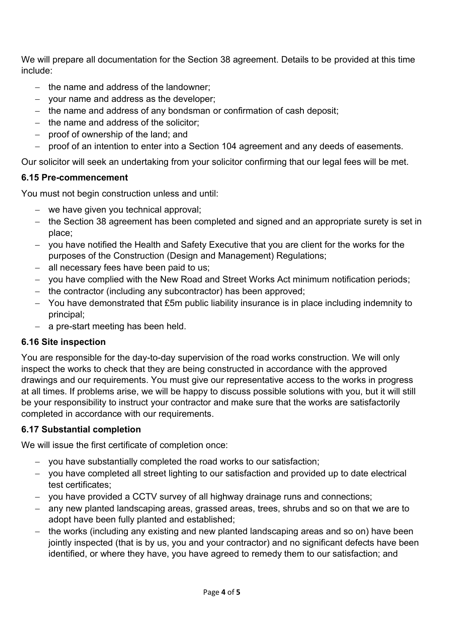We will prepare all documentation for the Section 38 agreement. Details to be provided at this time include:

- − the name and address of the landowner;
- − your name and address as the developer;
- − the name and address of any bondsman or confirmation of cash deposit;
- − the name and address of the solicitor;
- − proof of ownership of the land; and
- − proof of an intention to enter into a Section 104 agreement and any deeds of easements.

Our solicitor will seek an undertaking from your solicitor confirming that our legal fees will be met.

# **6.15 Pre-commencement**

You must not begin construction unless and until:

- − we have given you technical approval;
- − the Section 38 agreement has been completed and signed and an appropriate surety is set in place;
- − you have notified the Health and Safety Executive that you are client for the works for the purposes of the Construction (Design and Management) Regulations;
- − all necessary fees have been paid to us;
- − you have complied with the New Road and Street Works Act minimum notification periods;
- − the contractor (including any subcontractor) has been approved;
- − You have demonstrated that £5m public liability insurance is in place including indemnity to principal;
- − a pre-start meeting has been held.

# **6.16 Site inspection**

You are responsible for the day-to-day supervision of the road works construction. We will only inspect the works to check that they are being constructed in accordance with the approved drawings and our requirements. You must give our representative access to the works in progress at all times. If problems arise, we will be happy to discuss possible solutions with you, but it will still be your responsibility to instruct your contractor and make sure that the works are satisfactorily completed in accordance with our requirements.

# **6.17 Substantial completion**

We will issue the first certificate of completion once:

- − you have substantially completed the road works to our satisfaction;
- − you have completed all street lighting to our satisfaction and provided up to date electrical test certificates;
- − you have provided a CCTV survey of all highway drainage runs and connections;
- − any new planted landscaping areas, grassed areas, trees, shrubs and so on that we are to adopt have been fully planted and established;
- the works (including any existing and new planted landscaping areas and so on) have been jointly inspected (that is by us, you and your contractor) and no significant defects have been identified, or where they have, you have agreed to remedy them to our satisfaction; and